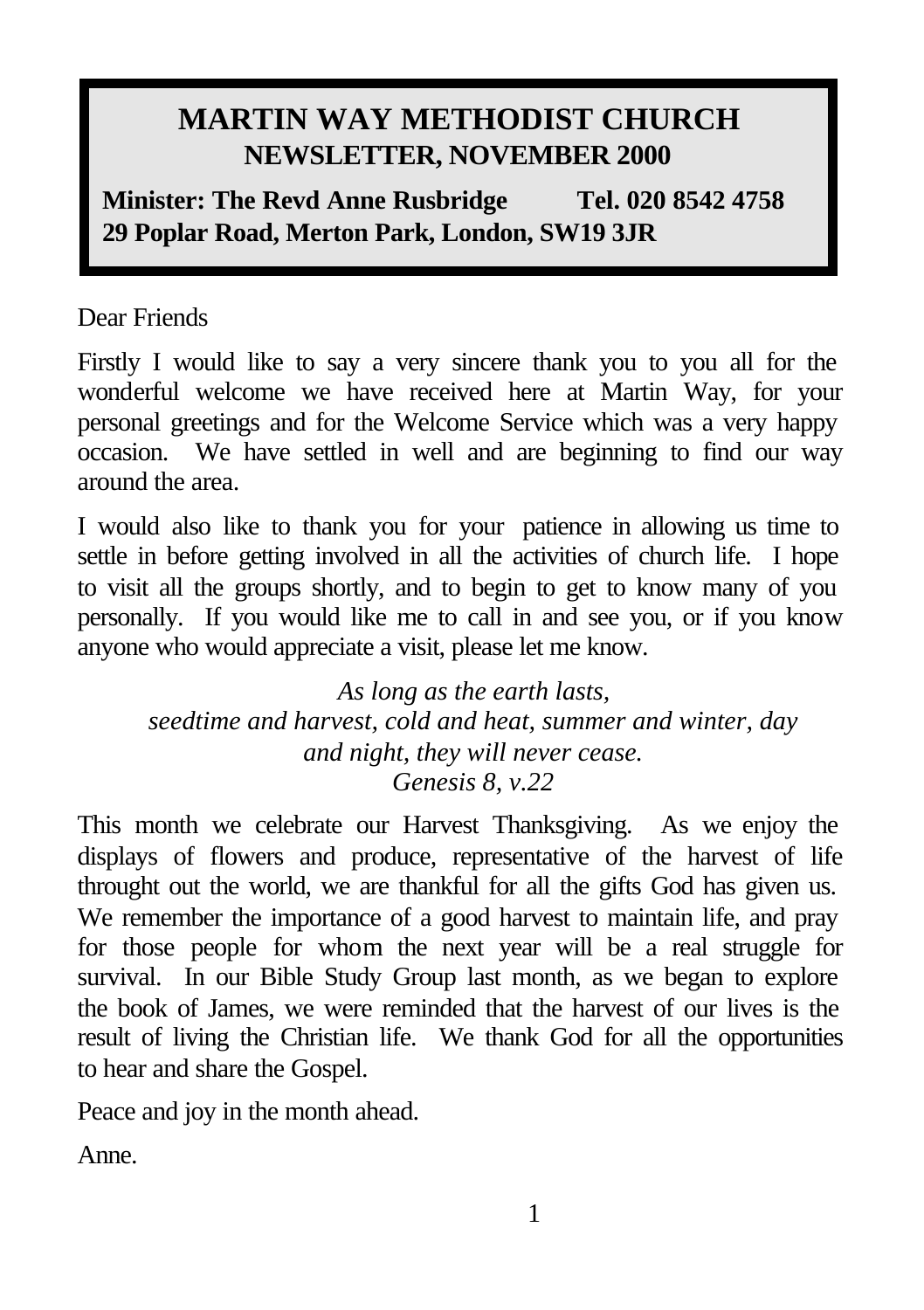# **MARTIN WAY METHODIST CHURCH NEWSLETTER, NOVEMBER 2000**

**Minister: The Revd Anne Rusbridge Tel. 020 8542 4758 29 Poplar Road, Merton Park, London, SW19 3JR** 

Dear Friends

Firstly I would like to say a very sincere thank you to you all for the wonderful welcome we have received here at Martin Way, for your personal greetings and for the Welcome Service which was a very happy occasion. We have settled in well and are beginning to find our way around the area.

I would also like to thank you for your patience in allowing us time to settle in before getting involved in all the activities of church life. I hope to visit all the groups shortly, and to begin to get to know many of you personally. If you would like me to call in and see you, or if you know anyone who would appreciate a visit, please let me know.

*As long as the earth lasts, seedtime and harvest, cold and heat, summer and winter, day and night, they will never cease. Genesis 8, v.22*

This month we celebrate our Harvest Thanksgiving. As we enjoy the displays of flowers and produce, representative of the harvest of life throught out the world, we are thankful for all the gifts God has given us. We remember the importance of a good harvest to maintain life, and pray for those people for whom the next year will be a real struggle for survival. In our Bible Study Group last month, as we began to explore the book of James, we were reminded that the harvest of our lives is the result of living the Christian life. We thank God for all the opportunities to hear and share the Gospel.

Peace and joy in the month ahead.

Anne.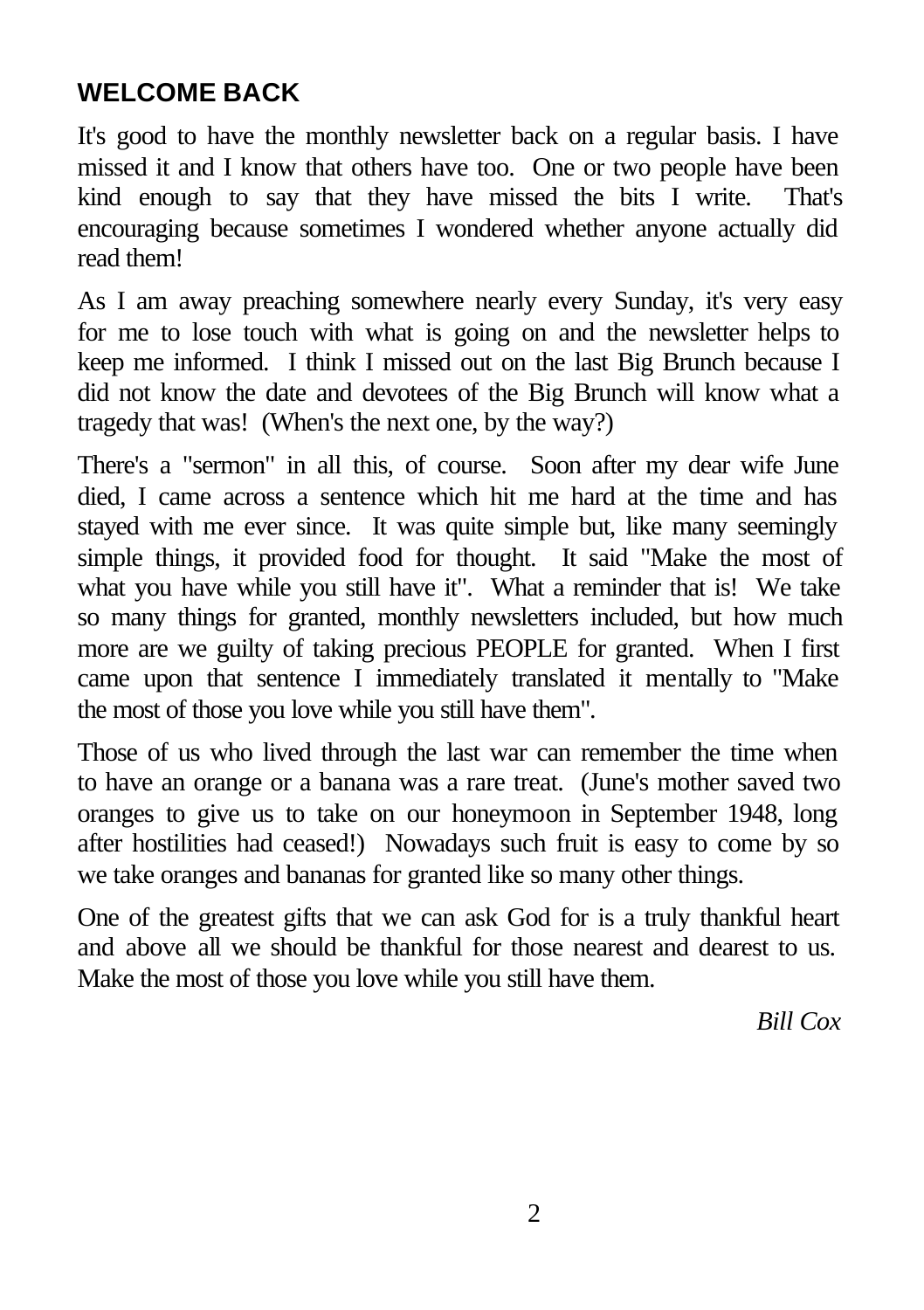### **WELCOME BACK**

It's good to have the monthly newsletter back on a regular basis. I have missed it and I know that others have too. One or two people have been kind enough to say that they have missed the bits I write. That's encouraging because sometimes I wondered whether anyone actually did read them!

As I am away preaching somewhere nearly every Sunday, it's very easy for me to lose touch with what is going on and the newsletter helps to keep me informed. I think I missed out on the last Big Brunch because I did not know the date and devotees of the Big Brunch will know what a tragedy that was! (When's the next one, by the way?)

There's a "sermon" in all this, of course. Soon after my dear wife June died, I came across a sentence which hit me hard at the time and has stayed with me ever since. It was quite simple but, like many seemingly simple things, it provided food for thought. It said "Make the most of what you have while you still have it". What a reminder that is! We take so many things for granted, monthly newsletters included, but how much more are we guilty of taking precious PEOPLE for granted. When I first came upon that sentence I immediately translated it mentally to "Make the most of those you love while you still have them".

Those of us who lived through the last war can remember the time when to have an orange or a banana was a rare treat. (June's mother saved two oranges to give us to take on our honeymoon in September 1948, long after hostilities had ceased!) Nowadays such fruit is easy to come by so we take oranges and bananas for granted like so many other things.

One of the greatest gifts that we can ask God for is a truly thankful heart and above all we should be thankful for those nearest and dearest to us. Make the most of those you love while you still have them.

*Bill Cox*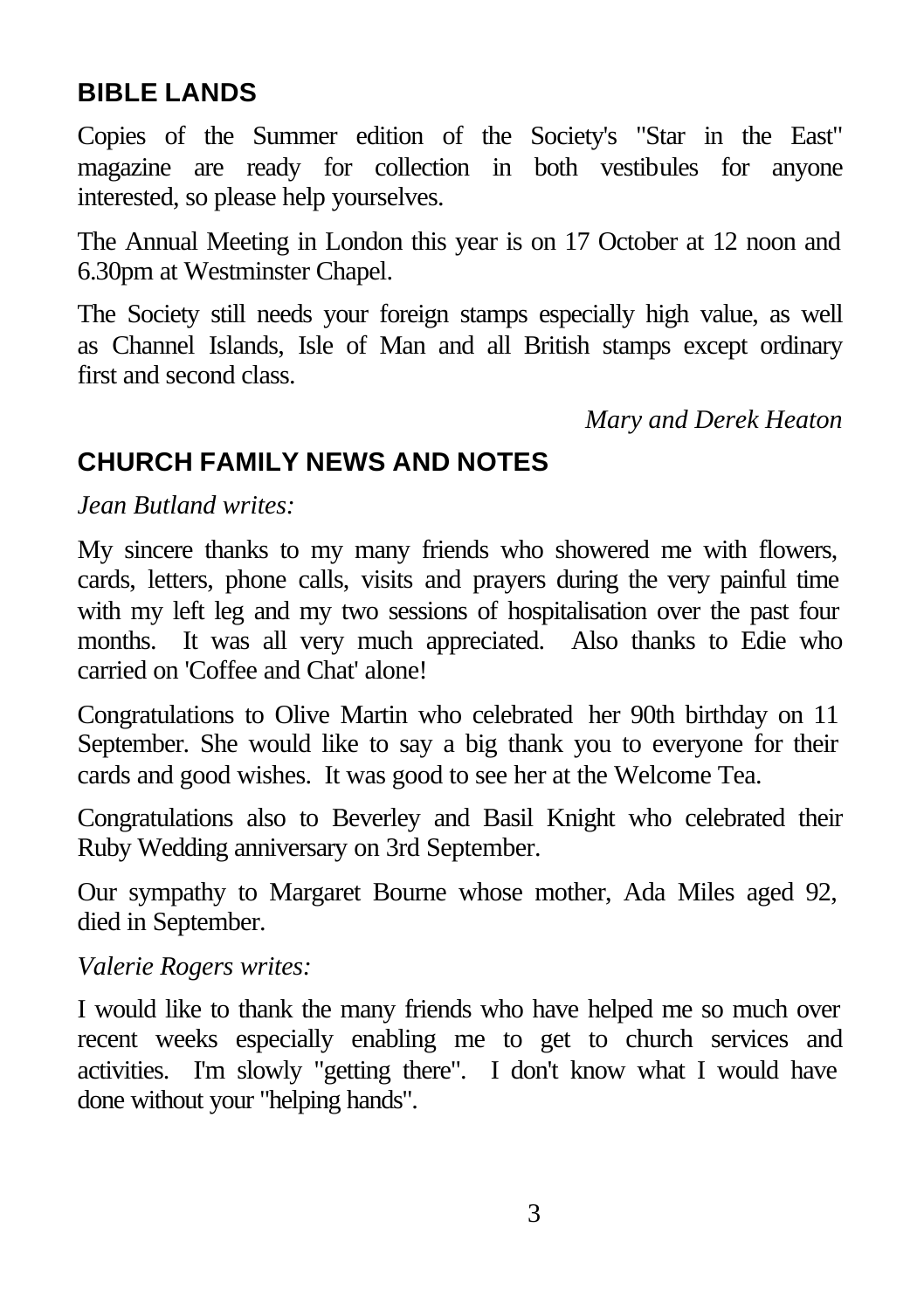#### **BIBLE LANDS**

Copies of the Summer edition of the Society's "Star in the East" magazine are ready for collection in both vestibules for anyone interested, so please help yourselves.

The Annual Meeting in London this year is on 17 October at 12 noon and 6.30pm at Westminster Chapel.

The Society still needs your foreign stamps especially high value, as well as Channel Islands, Isle of Man and all British stamps except ordinary first and second class.

*Mary and Derek Heaton*

#### **CHURCH FAMILY NEWS AND NOTES**

*Jean Butland writes:*

My sincere thanks to my many friends who showered me with flowers, cards, letters, phone calls, visits and prayers during the very painful time with my left leg and my two sessions of hospitalisation over the past four months. It was all very much appreciated. Also thanks to Edie who carried on 'Coffee and Chat' alone!

Congratulations to Olive Martin who celebrated her 90th birthday on 11 September. She would like to say a big thank you to everyone for their cards and good wishes. It was good to see her at the Welcome Tea.

Congratulations also to Beverley and Basil Knight who celebrated their Ruby Wedding anniversary on 3rd September.

Our sympathy to Margaret Bourne whose mother, Ada Miles aged 92, died in September.

*Valerie Rogers writes:*

I would like to thank the many friends who have helped me so much over recent weeks especially enabling me to get to church services and activities. I'm slowly "getting there". I don't know what I would have done without your "helping hands".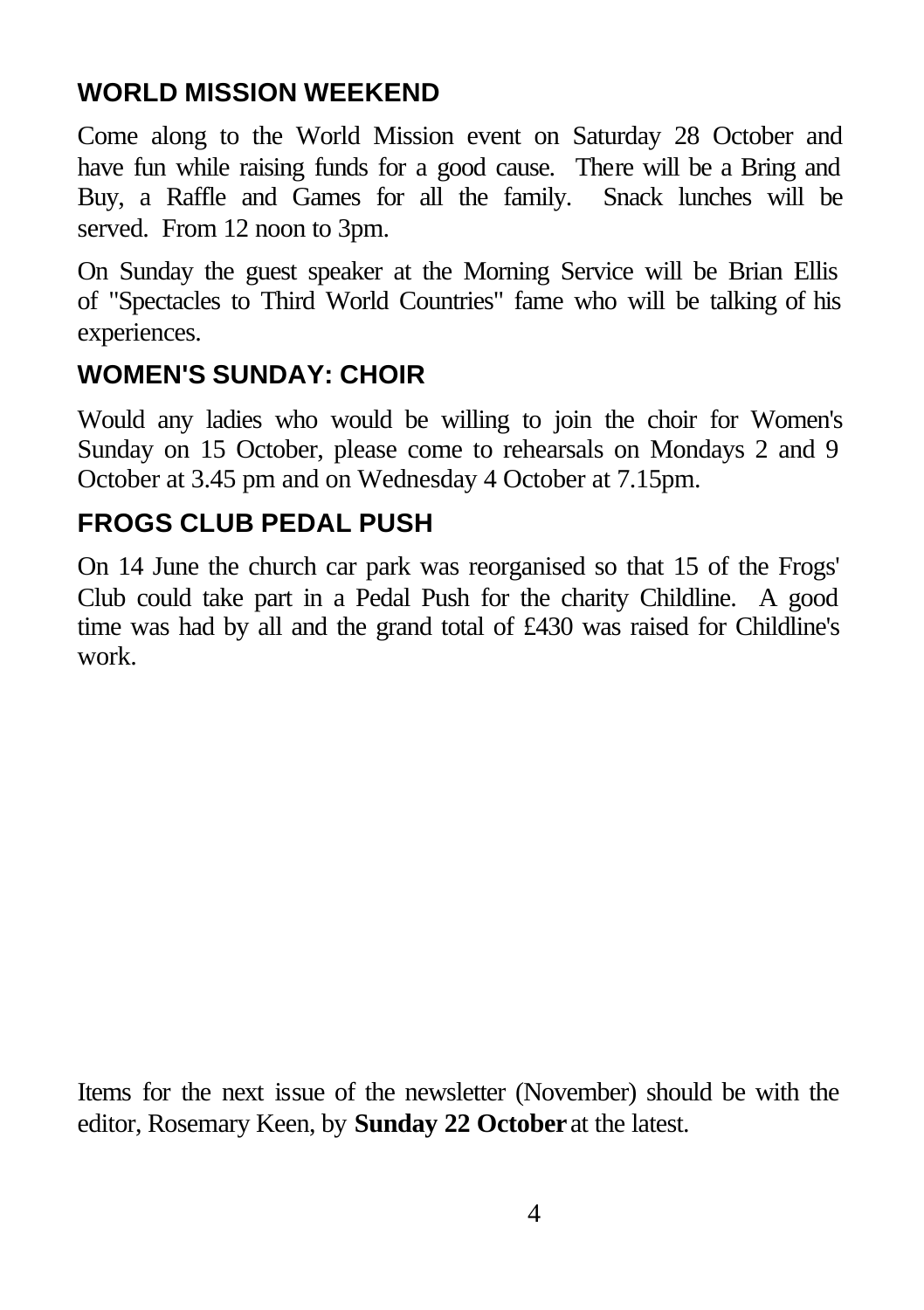### **WORLD MISSION WEEKEND**

Come along to the World Mission event on Saturday 28 October and have fun while raising funds for a good cause. There will be a Bring and Buy, a Raffle and Games for all the family. Snack lunches will be served. From 12 noon to 3pm.

On Sunday the guest speaker at the Morning Service will be Brian Ellis of "Spectacles to Third World Countries" fame who will be talking of his experiences.

## **WOMEN'S SUNDAY: CHOIR**

Would any ladies who would be willing to join the choir for Women's Sunday on 15 October, please come to rehearsals on Mondays 2 and 9 October at 3.45 pm and on Wednesday 4 October at 7.15pm.

### **FROGS CLUB PEDAL PUSH**

On 14 June the church car park was reorganised so that 15 of the Frogs' Club could take part in a Pedal Push for the charity Childline. A good time was had by all and the grand total of £430 was raised for Childline's work.

Items for the next issue of the newsletter (November) should be with the editor, Rosemary Keen, by **Sunday 22 October** at the latest.